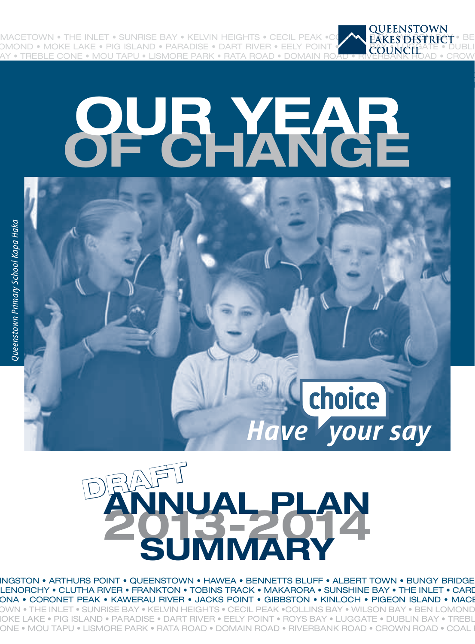MACETOWN • THE INLET • SUNRISE BAY • KELVIN HEIGHTS • CECIL PEAK •COLLY AND REAK FOUR FOUR FARES PART REALLY IN<br>DMOND • MOKE LAKE • PIG ISLAND • PARADISE • DART RIVER • EELY POINT • COUNCIL ATE • D **DMOND • MOKE LAKE • PIG ISLAND • PARADISE • DART RIVER • EELY POINT** TREBLE CONE • MOU TAPU • LISMORE PARK • RATA ROAD • DOMAIN

# **OF CHANGE OUR YEAR**





*Have your say*

choice

INGSTON • ARTHURS POINT • QUEENSTOWN • HAWEA • BENNETTS BLUFF • ALBERT TOWN • BUNGY BRIDGE LENORCHY • CLUTHA RIVER • FRANKTON • TOBINS TRACK • MAKARORA • SUNSHINE BAY • THE INLET • CARD RONA • CORONET PEAK • KAWERAU RIVER • JACKS POINT • GIBBSTON • KINLOCH • PIGEON ISLAND • MACE-TOWN • THE INLET • SUNRISE BAY • KELVIN HEIGHTS • CECIL PEAK •COLLINS BAY • WILSON BAY • BEN LOMOND • IOKE LAKE • PIG ISLAND • PARADISE • DART RIVER • EELY POINT • ROYS BAY • LUGGATE • DUBLIN BAY • TREBL CONE • MOU TAPU • LISMORE PARK • RATA ROAD • DOMAIN ROAD • RIVERBANK ROAD • CROWN ROAD • COAL PI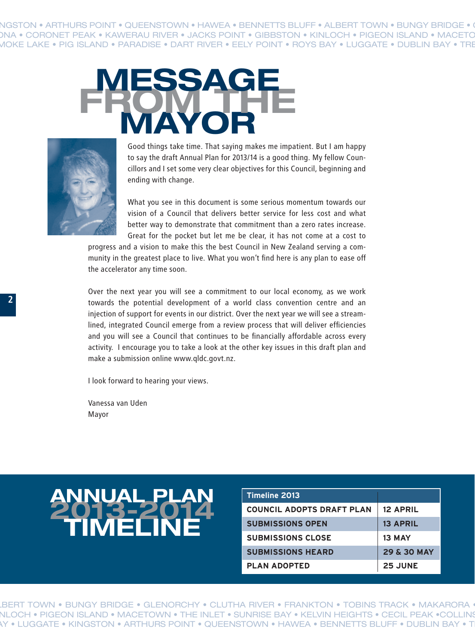NGSTON • ARTHURS POINT • QUEENSTOWN • HAWEA • BENNETTS BLUFF • ALBERT TOWN • BUNGY BRIDGE • ROMA • CORONET PEAK • KAWERAU RIVER • JACKS POINT • GIBBSTON • KINLOCH • PIGEON ISLAND • MACETO • MOKE LAKE • PIG ISLAND • PARADISE • DART RIVER • EELY POINT • ROYS BAY • LUGGATE • DUBLIN BAY • TREBLE CONE • MOU TAPU • LISMORE PARK • RATA ROAD • DOMAIN ROAD • RIVERBANK ROAD • CROWN ROAD •





Good things take time. That saying makes me impatient. But I am happy to say the draft Annual Plan for 2013/14 is a good thing. My fellow Councillors and I set some very clear objectives for this Council, beginning and ending with change.

What you see in this document is some serious momentum towards our vision of a Council that delivers better service for less cost and what better way to demonstrate that commitment than a zero rates increase. Great for the pocket but let me be clear, it has not come at a cost to

progress and a vision to make this the best Council in New Zealand serving a community in the greatest place to live. What you won't find here is any plan to ease off the accelerator any time soon.

Over the next year you will see a commitment to our local economy, as we work towards the potential development of a world class convention centre and an injection of support for events in our district. Over the next year we will see a streamlined, integrated Council emerge from a review process that will deliver efficiencies and you will see a Council that continues to be financially affordable across every activity. I encourage you to take a look at the other key issues in this draft plan and make a submission online www.qldc.govt.nz.

I look forward to hearing your views.

Vanessa van Uden Mayor

#### **2013-2014 <b>ANNUAL PLAN**<br>2013-2014 **COUNCIL ADD TIMELINE**

| Timeline 2013                    |                        |
|----------------------------------|------------------------|
| <b>COUNCIL ADOPTS DRAFT PLAN</b> | <b>12 APRIL</b>        |
| <b>SUBMISSIONS OPEN</b>          | <b>13 APRIL</b>        |
| <b>SUBMISSIONS CLOSE</b>         | 13 MAY                 |
| <b>SUBMISSIONS HEARD</b>         | <b>29 &amp; 30 MAY</b> |
| <b>PLAN ADOPTED</b>              | <b>25 JUNE</b>         |

ALBERT TOWN • BUNGY BRIDGE • GLENORCHY • CLUTHA RIVER • FRANKTON • TOBINS TRACK • MAKARORA NLOCH • PIGEON ISLAND • MACETOWN • THE INLET • SUNRISE BAY • KELVIN HEIGHTS • CECIL PEAK •COLLINS \Y • LUGGATE • KINGSTON • ARTHURS POINT • QUEENSTOWN • HAWEA • BENNETTS BLUFF • DUBLIN BAY • T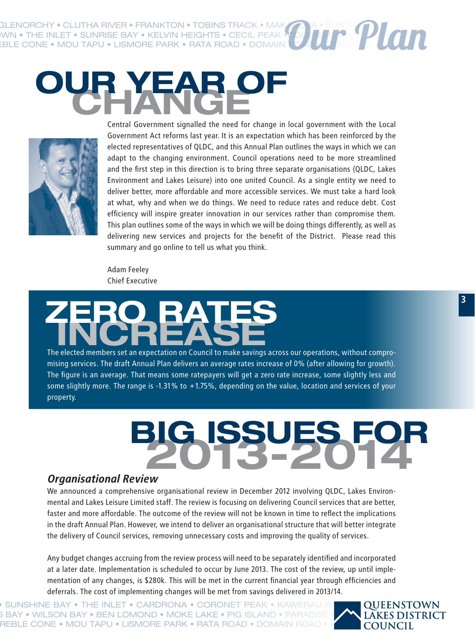GLENORCHY • CLUTHA RIVER • FRANKTON • TOBINS TRACK • MAK RONA • THE INLET • SUNRISE BAY • KELVIN FI UBINS I RACK • MAK<br>ERLE CONE • MACHTAELLING BAY • KELVIN HEIGHTS • CECIL PEAK •C FIGUR FOR PARADISE • MOU TAPU • LISMORE PARK • RATA ROAD • DOMAIN **R** Our Plan





Central Government signalled the need for change in local government with the Local Government Act reforms last year. It is an expectation which has been reinforced by the elected representatives of QLDC, and this Annual Plan outlines the ways in which we can adapt to the changing environment. Council operations need to be more streamlined and the first step in this direction is to bring three separate organisations (QLDC, Lakes Environment and Lakes Leisure) into one united Council. As a single entity we need to deliver better, more affordable and more accessible services. We must take a hard look at what, why and when we do things. We need to reduce rates and reduce debt. Cost efficiency will inspire greater innovation in our services rather than compromise them. This plan outlines some of the ways in which we will be doing things differently, as well as delivering new services and projects for the benefit of the District. Please read this summary and go online to tell us what you think.

Adam Feeley Chief Executive

## **INCREASE ZERO RATES**

The elected members set an expectation on Council to make savings across our operations, without compromising services. The draft Annual Plan delivers an average rates increase of 0% (after allowing for growth). The figure is an average. That means some ratepayers will get a zero rate increase, some slightly less and some slightly more. The range is -1.31% to +1.75%, depending on the value, location and services of your property.

# **2013-2014 BIG ISSUES FOR**

#### *Organisational Review*

We announced a comprehensive organisational review in December 2012 involving QLDC, Lakes Environmental and Lakes Leisure Limited staff. The review is focusing on delivering Council services that are better, faster and more affordable. The outcome of the review will not be known in time to reflect the implications in the draft Annual Plan. However, we intend to deliver an organisational structure that will better integrate the delivery of Council services, removing unnecessary costs and improving the quality of services.

Any budget changes accruing from the review process will need to be separately identified and incorporated at a later date. Implementation is scheduled to occur by June 2013. The cost of the review, up until implementation of any changes, is \$280k. This will be met in the current financial year through efficiencies and deferrals. The cost of implementing changes will be met from savings delivered in 2013/14.

 $\bullet$  sunshine bay  $\bullet$  the inlet  $\bullet$  cardrona  $\bullet$  coronet peak  $\bullet$  kawerau ri $\blacksquare$  Queenstown FIGURY • WILSON BAY • BEN LOMOND • MOKE LAKE • PIG ISLAND • PARADISE • AN L**AKES DISTRICT** REBLE CONE • MOU TAPU • LISMORE PARK • RATA ROAD • DOMAIN ROAD • RIVERSION ROAD • RIVERS ROAD • RIVERS ROAD • RIVERBANK ROAD • RIVERBANK ROAD • RIVERS ROAD • RIVERS ROAD • RIVERS ROAD • RIVERS ROAD • RIVERS ROAD • RIVERS R

**3**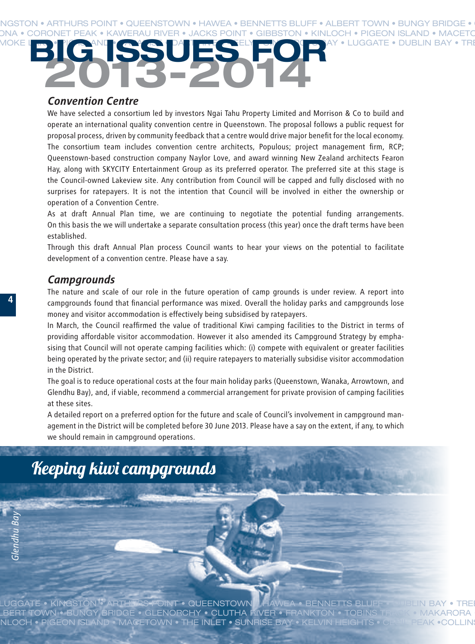#### NGSTON • ARTHURS POINT • QUEENSTOWN • HAWEA • BENNETTS BLUFF • ALBERT TOWN • BUNGY BRIDGE • 1 DNA • CORONET PEAK • KAWERAU RIVER • JACKS POINT • GIBBSTON • KINLOCH • PIGEON ISLAND • MACETO MOKE LAKE • PIG AND • PARADISCH POINT • PARADISCHE CONE • PARADISCHE • POISLIN BAY • TRE **2013-2014 BIG ISSUES FOR**

#### *Convention Centre*

We have selected a consortium led by investors Ngai Tahu Property Limited and Morrison & Co to build and operate an international quality convention centre in Queenstown. The proposal follows a public request for proposal process, driven by community feedback that a centre would drive major benefit for the local economy. The consortium team includes convention centre architects, Populous; project management firm, RCP; Queenstown-based construction company Naylor Love, and award winning New Zealand architects Fearon Hay, along with SKYCITY Entertainment Group as its preferred operator. The preferred site at this stage is the Council-owned Lakeview site. Any contribution from Council will be capped and fully disclosed with no surprises for ratepayers. It is not the intention that Council will be involved in either the ownership or operation of a Convention Centre.

As at draft Annual Plan time, we are continuing to negotiate the potential funding arrangements. On this basis the we will undertake a separate consultation process (this year) once the draft terms have been established.

Through this draft Annual Plan process Council wants to hear your views on the potential to facilitate development of a convention centre. Please have a say.

#### *Campgrounds*

The nature and scale of our role in the future operation of camp grounds is under review. A report into campgrounds found that financial performance was mixed. Overall the holiday parks and campgrounds lose money and visitor accommodation is effectively being subsidised by ratepayers.

In March, the Council reaffirmed the value of traditional Kiwi camping facilities to the District in terms of providing affordable visitor accommodation. However it also amended its Campground Strategy by emphasising that Council will not operate camping facilities which: (i) compete with equivalent or greater facilities being operated by the private sector; and (ii) require ratepayers to materially subsidise visitor accommodation in the District.

The goal is to reduce operational costs at the four main holiday parks (Queenstown, Wanaka, Arrowtown, and Glendhu Bay), and, if viable, recommend a commercial arrangement for private provision of camping facilities at these sites.

A detailed report on a preferred option for the future and scale of Council's involvement in campground management in the District will be completed before 30 June 2013. Please have a say on the extent, if any, to which we should remain in campground operations.

#### Keeping kiwi campgrounds

**4**

LUGGATE • KINGSTON • ARTHURS POINT • QUEENSTOWN II HAWEA • BENNETTS BLUFF • DUBLIN BAY • TREI LBERT TOWN • BUNGY BRIDGE • GLENORCHY • CLUTHA RIVER • FRANKTON • TOBINS TRACK • MAKARORA NLOCH • PIGEON ISLAND • MACETOWN • THE INLET • SUNRISE BAY • KELVIN HI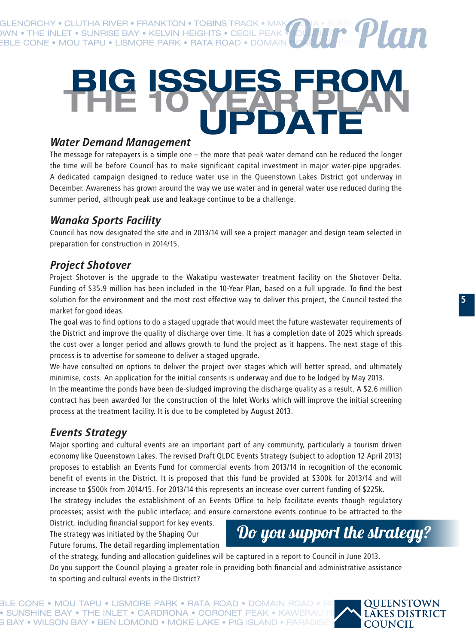KINGA BENOR POLUT BENGER • BENNET • BENNET • BUNGT BACK **IWN • THE INLET • SUNRISE BAY • KELVIN HEIGHTS • CECIL PEAK EBLE CONE • MOU TAPU • LISMORE PARK • RATA ROAD • DOMAIN** Our Plan

### **UPDATE THE 10 YEAR PLAN BIG ISSUES FROM**

#### *Water Demand Management*

The message for ratepayers is a simple one – the more that peak water demand can be reduced the longer the time will be before Council has to make significant capital investment in major water-pipe upgrades. A dedicated campaign designed to reduce water use in the Queenstown Lakes District got underway in December. Awareness has grown around the way we use water and in general water use reduced during the summer period, although peak use and leakage continue to be a challenge.

#### *Wanaka Sports Facility*

Council has now designated the site and in 2013/14 will see a project manager and design team selected in preparation for construction in 2014/15.

#### *Project Shotover*

Project Shotover is the upgrade to the Wakatipu wastewater treatment facility on the Shotover Delta. Funding of \$35.9 million has been included in the 10-Year Plan, based on a full upgrade. To find the best solution for the environment and the most cost effective way to deliver this project, the Council tested the market for good ideas.

The goal was to find options to do a staged upgrade that would meet the future wastewater requirements of the District and improve the quality of discharge over time. It has a completion date of 2025 which spreads the cost over a longer period and allows growth to fund the project as it happens. The next stage of this process is to advertise for someone to deliver a staged upgrade.

We have consulted on options to deliver the project over stages which will better spread, and ultimately minimise, costs. An application for the initial consents is underway and due to be lodged by May 2013.

In the meantime the ponds have been de-sludged improving the discharge quality as a result. A \$2.6 million contract has been awarded for the construction of the Inlet Works which will improve the initial screening process at the treatment facility. It is due to be completed by August 2013.

#### *Events Strategy*

Major sporting and cultural events are an important part of any community, particularly a tourism driven economy like Queenstown Lakes. The revised Draft QLDC Events Strategy (subject to adoption 12 April 2013) proposes to establish an Events Fund for commercial events from 2013/14 in recognition of the economic benefit of events in the District. It is proposed that this fund be provided at \$300k for 2013/14 and will increase to \$500k from 2014/15. For 2013/14 this represents an increase over current funding of \$225k.

The strategy includes the establishment of an Events Office to help facilitate events though regulatory processes; assist with the public interface; and ensure cornerstone events continue to be attracted to the

District, including financial support for key events. The strategy was initiated by the Shaping Our Future forums. The detail regarding implementation



of the strategy, funding and allocation guidelines will be captured in a report to Council in June 2013. Do you support the Council playing a greater role in providing both financial and administrative assistance to sporting and cultural events in the District?

BLE CONE • MOU TAPU • LISMORE PARK • RATA ROAD • DOMAIN ROAD • RIVERITTING ROAD • PARK ROAD • RIVERBANK ROAD • C  $\bullet$  sunshine bay  $\bullet$  the inlet  $\bullet$  cardrona  $\bullet$  coronet peak  $\circ$  kawerau r $\blacktriangledown$   $\blacktriangle$   $\blacktriangle$   $\blacktriangle$   $\blacktriangle$   $\blacktriangle$   $\blacktriangle$   $\blacktriangle$   $\blacktriangle$   $\blacktriangle$   $\blacktriangle$   $\blacktriangle$   $\blacktriangle$   $\blacktriangle$   $\blacktriangle$   $\blacktriangle$   $\blacktriangle$   $\blacktriangle$   $\blacktriangle$   $\blacktriangle$   $\blacktriangle$   $\blacktriangle$   $\blacktriangle$   $\$ S BAY • WILSON BAY • BEN LOMOND • MOKE LAKE • PIG ISLAND • PARADISE • DART RIVER RIVER I

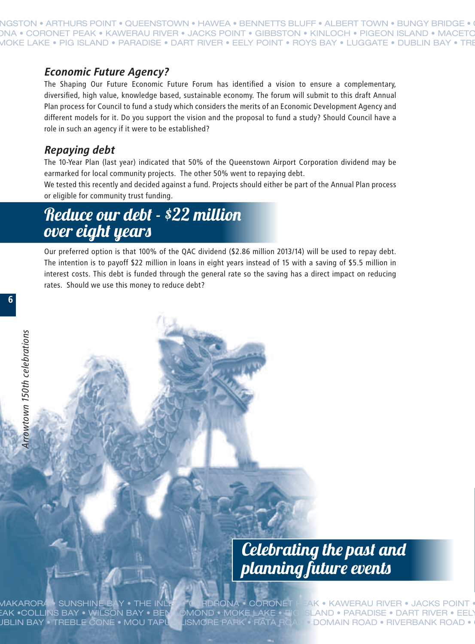TON • ARTHURS POINT • QUEENSTOWN • HAWEA • BENNETTS BLUFF • ALBERT TOWN • BUNGY BRIDGE DNA • CORONET PEAK • KAWERAU RIVER • JACKS POINT • GIBBSTON • KINLOCH • PIGEON ISLAND • MACE • MOKE LAKE • PIG ISLAND • PARADISE • DART RIVER • EELY POINT • ROYS BAY • LUGGATE • DUBLIN BAY • TREBLE CONE • MOU TAPU • LISMORE PARK • RATA ROAD • DOMAIN ROAD • RIVERBANK ROAD • CROWN ROAD •

#### *Economic Future Agency?*

The Shaping Our Future Economic Future Forum has identified a vision to ensure a complementary, diversified, high value, knowledge based, sustainable economy. The forum will submit to this draft Annual Plan process for Council to fund a study which considers the merits of an Economic Development Agency and different models for it. Do you support the vision and the proposal to fund a study? Should Council have a role in such an agency if it were to be established?

#### *Repaying debt*

The 10-Year Plan (last year) indicated that 50% of the Queenstown Airport Corporation dividend may be earmarked for local community projects. The other 50% went to repaying debt.

We tested this recently and decided against a fund. Projects should either be part of the Annual Plan process or eligible for community trust funding.

#### Reduce our debt - \$22 million over eight years

Our preferred option is that 100% of the QAC dividend (\$2.86 million 2013/14) will be used to repay debt. The intention is to payoff \$22 million in loans in eight years instead of 15 with a saving of \$5.5 million in interest costs. This debt is funded through the general rate so the saving has a direct impact on reducing rates. Should we use this money to reduce debt?

**6**

# Celebrating the past and planning future events **DUBLIN BAY • TREBLE CONE • MOU TAPU • LISMORE PARK • RATA ROAD • RIVER • JACKS POINT • RATA ROAD • RIVER • CROWN POINT • CROWN • CONE • MOU TAPU • CLUTHA REAL PROPERTY • CLUTHA RIVER • FRANK FRANK FOR ARRAY • TREBLE CONE**

 $\sf{MAXARORA}$  • SUNSHINE BAY • THE INLET • CARDRONA • CORONET PEAK • KAWERAU RIVER • JACKS POINT PEAK •COLLINS BAY • WILSON BAY • BEN**L**OMOND • MOKE LAKE • RIGISLAND • PARADISE • DART RIVER • EELI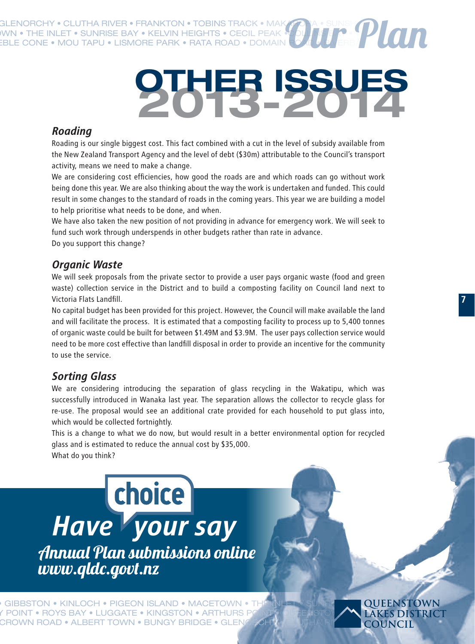GLENORCHY • CLUTHA RIVER • FRANKTON • TOBINS TRACK • MAK<br>WN • THE INLET • SUNRISE BAY • KELVIN HEIGHTS • CECIL PEAK •<br>ERLE CONE • MOLLTADILLET BAY • THE IN RONA • THE INLET • SUNRISE BAY • KELVIN HEIGHTS • CECIL PEAK • OU I INLET • VILLING BAY • WILSON BAY • WILSON B  $\overline{\text{EBLE CONE}}$  • MOU TAPU • LISMORE PARK • RATA ROAD • DOMAIN ROAD •  $\overline{\text{DAIC}}$  ere $\overline{\text{P}}$ **Dur Plan** 

# **2013-2014 OTHER ISSUES**

#### *Roading*

Roading is our single biggest cost. This fact combined with a cut in the level of subsidy available from the New Zealand Transport Agency and the level of debt (\$30m) attributable to the Council's transport activity, means we need to make a change.

We are considering cost efficiencies, how good the roads are and which roads can go without work being done this year. We are also thinking about the way the work is undertaken and funded. This could result in some changes to the standard of roads in the coming years. This year we are building a model to help prioritise what needs to be done, and when.

We have also taken the new position of not providing in advance for emergency work. We will seek to fund such work through underspends in other budgets rather than rate in advance. Do you support this change?

#### *Organic Waste*

We will seek proposals from the private sector to provide a user pays organic waste (food and green waste) collection service in the District and to build a composting facility on Council land next to Victoria Flats Landfill.

No capital budget has been provided for this project. However, the Council will make available the land and will facilitate the process. It is estimated that a composting facility to process up to 5,400 tonnes of organic waste could be built for between \$1.49M and \$3.9M. The user pays collection service would need to be more cost effective than landfill disposal in order to provide an incentive for the community to use the service.

#### *Sorting Glass*

We are considering introducing the separation of glass recycling in the Wakatipu, which was successfully introduced in Wanaka last year. The separation allows the collector to recycle glass for re-use. The proposal would see an additional crate provided for each household to put glass into, which would be collected fortnightly.

This is a change to what we do now, but would result in a better environmental option for recycled glass and is estimated to reduce the annual cost by \$35,000. What do you think?

Annual Plan submissions online www.qldc.govt.nz *Have your say*

FON • KINLOCH • PIGEON ISLAND • MACETOWN • THE INLET • SUNRISE LOUEENSTOWN Y POINT • ROYS BAY • LUGGATE • KINGSTON • ARTHURS POINT • PART ISLAND ISLAND ISLAND ISLAND • ARTHURS POINT • ROYS BAY • LUGGATE • KINGSTON • ARTHURS POINT • BENSTOWN CROWN ROAD • ALBERT TOWN • BUNGY BRIDGE • GLENÓRCHY PARTICLES IN ROAD • ALBERT TOWN • BUNGY BRIDGE • GLENÓRCHY •

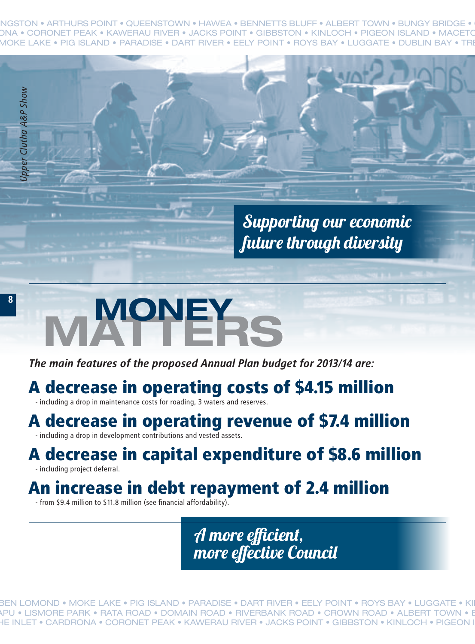NGSTON • ARTHURS POINT • QUEENSTOWN • HAWEA • BENNETTS BLUFF • ALBERT TOWN • BUNGY BRIDGE • DNA • CORONET PEAK • KAWERAU RIVER • JACKS POINT • GIBBSTON • KINLOCH • PIGEON ISLAND • MACETO • MOKE LAKE • PIG ISLAND • PARADISE • DART RIVER • EELY POINT • ROYS BAY • LUGGATE • DUBLIN BAY • TREBLE CONE • MOU TAPU • LISMORE PARK • RATA ROAD • DOMAIN ROAD • RIVERBANK ROAD • CROWN ROAD •

> Supporting our economic future through diversity

# THE INLET <sup>SA</sup>RDRONA • CORONET PEAK • CORONET PEAK • CORONET PEAK • A decrease in operating costs of \$4.15 million<br>
A decrease in operating costs of \$4.15 million<br>
A decrease in operating revenue of \$7.4 million<br>
A decreas  $M$ ONEY

*The main features of the proposed Annual Plan budget for 2013/14 are:*

#### A decrease in operating costs of \$4.15 million

- including a drop in maintenance costs for roading, 3 waters and reserves.

#### A decrease in operating revenue of \$7.4 million

- including a drop in development contributions and vested assets.

#### A decrease in capital expenditure of \$8.6 million

- including project deferral.

#### An increase in debt repayment of 2.4 million

- from \$9.4 million to \$11.8 million (see financial affordability).

A more efficient, more effective Council

BEN LOMOND • MOKE LAKE • PIG ISLAND • PARADISE • DART RIVER • EELY POINT • ROYS BAY • LUGGATE • KI APU • LISMORE PARK • RATA ROAD • DOMAIN ROAD • RIVERBANK ROAD • CROWN ROAD • ALBERT TOWN • B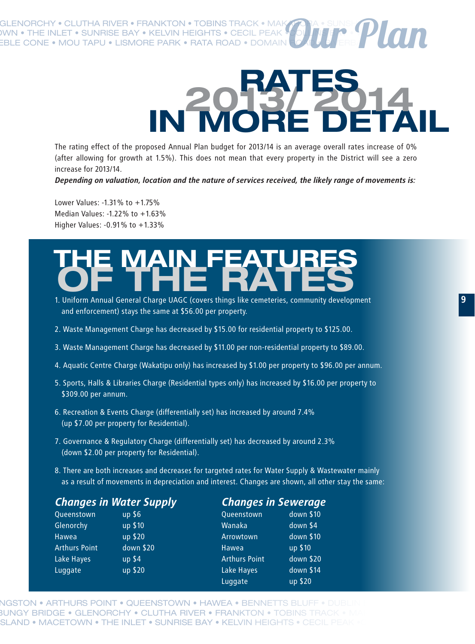GLENORCHY • CLUTHA RIVER • FRANKTON • TOBINS TRACK • MAK **INN • THE INLET • SUNRISE BAY • KELVIN HEIGHTS • CECIL PEAK**  $\overline{\textsf{EBLE CONE}}\bullet \textsf{MOU}$  tapu • Lismore park • Rata road • Domain  $\overline{\textsf{R}}$ Our Plan

# **IN MORE DETAIL 2013/ 2014 RATES**

The rating effect of the proposed Annual Plan budget for 2013/14 is an average overall rates increase of 0% (after allowing for growth at 1.5%). This does not mean that every property in the District will see a zero increase for 2013/14.

*Depending on valuation, location and the nature of services received, the likely range of movements is:*

Lower Values: -1.31% to +1.75% Median Values: -1.22% to +1.63% Higher Values: -0.91% to +1.33%

## **OF THE RATES THE MAIN FEATURES**

- 1. Uniform Annual General Charge UAGC (covers things like cemeteries, community development and enforcement) stays the same at \$56.00 per property.
- 2. Waste Management Charge has decreased by \$15.00 for residential property to \$125.00.
- 3. Waste Management Charge has decreased by \$11.00 per non-residential property to \$89.00.
- 4. Aquatic Centre Charge (Wakatipu only) has increased by \$1.00 per property to \$96.00 per annum.
- 5. Sports, Halls & Libraries Charge (Residential types only) has increased by \$16.00 per property to \$309.00 per annum.
- 6. Recreation & Events Charge (differentially set) has increased by around 7.4% (up \$7.00 per property for Residential).
- 7. Governance & Regulatory Charge (differentially set) has decreased by around 2.3% (down \$2.00 per property for Residential).
- 8. There are both increases and decreases for targeted rates for Water Supply & Wastewater mainly as a result of movements in depreciation and interest. Changes are shown, all other stay the same:

| <b>Changes in Water Supply</b> |           | <b>Changes in Sewerage</b> |           |  |
|--------------------------------|-----------|----------------------------|-----------|--|
| Queenstown                     | $up$ \$6  | Queenstown                 | down \$10 |  |
| Glenorchy                      | up \$10   | Wanaka                     | down \$4  |  |
| Hawea                          | up \$20   | Arrowtown                  | down \$10 |  |
| <b>Arthurs Point</b>           | down \$20 | Hawea                      | up \$10   |  |
| Lake Hayes                     | $up$ \$4  | <b>Arthurs Point</b>       | down \$20 |  |
| Luggate                        | up \$20   | Lake Hayes                 | down \$14 |  |
|                                |           | Luggate                    | up \$20   |  |

<code>NGSTON •</code> ARTHURS POINT • QUEENSTOWN • HAWEA • BENNETTS BLUFF • DUE BUNGY BRIDGE • GLENORCHY • CLUTHA RIVER • FRANKTON • TOBINS TRACK SLAND • MACETOWN • THE INLET • SUNRISE BAY • KELVIN HEIGHTS • CECIL PEAK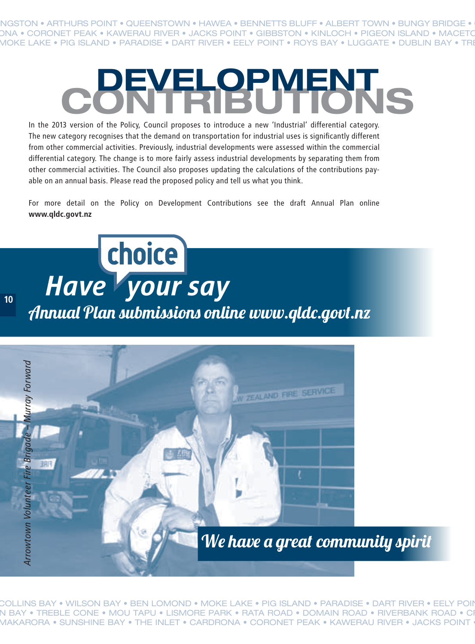NGSTON • ARTHURS POINT • QUEENSTOWN • HAWEA • BENNETTS BLUFF • ALBERT TOWN • BUNGY BRIDGE • DNA • CORONET PEAK • KAWERAU RIVER • JACKS POINT • GIBBSTON • KINLOCH • PIGEON ISLAND • MACET( • MOKE LAKE • PIG ISLAND • PARADISE • DART RIVER • EELY POINT • ROYS BAY • LUGGATE • DUBLIN BAY • TREBLE CONE • MOU TAPU • LISMORE PARK • RATA ROAD • DOMAIN ROAD • RIVERBANK ROAD • CROWN ROAD •

## **CONTRIBUTIONS DEVELOPMENT**

In the 2013 version of the Policy, Council proposes to introduce a new 'Industrial' differential category. The new category recognises that the demand on transportation for industrial uses is significantly different from other commercial activities. Previously, industrial developments were assessed within the commercial differential category. The change is to more fairly assess industrial developments by separating them from other commercial activities. The Council also proposes updating the calculations of the contributions payable on an annual basis. Please read the proposed policy and tell us what you think.

For more detail on the Policy on Development Contributions see the draft Annual Plan online **www.qldc.govt.nz** 

**10**

Annual Plan submissions online www.qldc.govt.nz *Have your say*



<code>COLLINS</code> BAY • WILSON BAY • BEN LOMOND • MOKE LAKE • PIG ISLAND • PARADISE • DART RIVER • EELY POII N BAY • TREBLE CONE • MOU TAPU • LISMORE PARK • RATA ROAD • DOMAIN ROAD • RIVERBANK ROAD • CI MAKARORA • SUNSHINE BAY • THE INLET • CARDRONA • CORONET PEAK • KAWERAU RIVER • JACKS POINT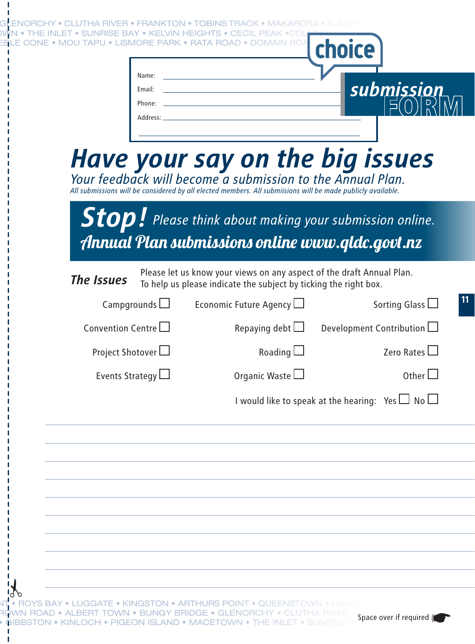| Phone:<br>Address:<br>Have your say on the big issues<br>Your feedback will become a submission to the Annual Plan.<br>All submissions will be considered by all elected members. All submiisions will be made publicly available.<br>$\boldsymbol{Stop}$ . Please think about making your submission online.<br>Annual Plan submissions online www.qldc.govt.nz<br>Please let us know your views on any aspect of the draft Annual Plan.<br>The Issues<br>To help us please indicate the subject by ticking the right box.<br>Campgrounds $\Box$<br>Economic Future Agency $\Box$<br>Sorting Glass <sup>[1]</sup><br>Development Contribution<br>Convention Centre $\Box$<br>Repaying debt $\Box$<br>Roading $\Box$<br>Project Shotover<br>Zero Rates<br>Organic Waste $\square$<br>Events Strategy $\Box$<br>Other $\Box$<br>I would like to speak at the hearing: Yes $\Box$ No $\Box$ |  |
|-------------------------------------------------------------------------------------------------------------------------------------------------------------------------------------------------------------------------------------------------------------------------------------------------------------------------------------------------------------------------------------------------------------------------------------------------------------------------------------------------------------------------------------------------------------------------------------------------------------------------------------------------------------------------------------------------------------------------------------------------------------------------------------------------------------------------------------------------------------------------------------------|--|
|                                                                                                                                                                                                                                                                                                                                                                                                                                                                                                                                                                                                                                                                                                                                                                                                                                                                                           |  |
|                                                                                                                                                                                                                                                                                                                                                                                                                                                                                                                                                                                                                                                                                                                                                                                                                                                                                           |  |
|                                                                                                                                                                                                                                                                                                                                                                                                                                                                                                                                                                                                                                                                                                                                                                                                                                                                                           |  |
|                                                                                                                                                                                                                                                                                                                                                                                                                                                                                                                                                                                                                                                                                                                                                                                                                                                                                           |  |
|                                                                                                                                                                                                                                                                                                                                                                                                                                                                                                                                                                                                                                                                                                                                                                                                                                                                                           |  |
|                                                                                                                                                                                                                                                                                                                                                                                                                                                                                                                                                                                                                                                                                                                                                                                                                                                                                           |  |
|                                                                                                                                                                                                                                                                                                                                                                                                                                                                                                                                                                                                                                                                                                                                                                                                                                                                                           |  |
|                                                                                                                                                                                                                                                                                                                                                                                                                                                                                                                                                                                                                                                                                                                                                                                                                                                                                           |  |
|                                                                                                                                                                                                                                                                                                                                                                                                                                                                                                                                                                                                                                                                                                                                                                                                                                                                                           |  |
|                                                                                                                                                                                                                                                                                                                                                                                                                                                                                                                                                                                                                                                                                                                                                                                                                                                                                           |  |
|                                                                                                                                                                                                                                                                                                                                                                                                                                                                                                                                                                                                                                                                                                                                                                                                                                                                                           |  |
|                                                                                                                                                                                                                                                                                                                                                                                                                                                                                                                                                                                                                                                                                                                                                                                                                                                                                           |  |
|                                                                                                                                                                                                                                                                                                                                                                                                                                                                                                                                                                                                                                                                                                                                                                                                                                                                                           |  |
|                                                                                                                                                                                                                                                                                                                                                                                                                                                                                                                                                                                                                                                                                                                                                                                                                                                                                           |  |
|                                                                                                                                                                                                                                                                                                                                                                                                                                                                                                                                                                                                                                                                                                                                                                                                                                                                                           |  |
|                                                                                                                                                                                                                                                                                                                                                                                                                                                                                                                                                                                                                                                                                                                                                                                                                                                                                           |  |